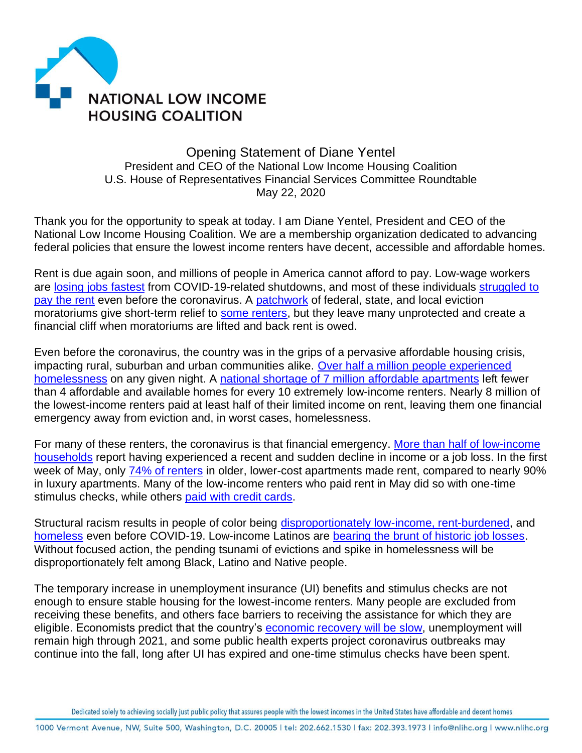

## Opening Statement of Diane Yentel President and CEO of the National Low Income Housing Coalition U.S. House of Representatives Financial Services Committee Roundtable May 22, 2020

Thank you for the opportunity to speak at today. I am Diane Yentel, President and CEO of the National Low Income Housing Coalition. We are a membership organization dedicated to advancing federal policies that ensure the lowest income renters have decent, accessible and affordable homes.

Rent is due again soon, and millions of people in America cannot afford to pay. Low-wage workers are [losing jobs fastest](https://nlihc.org/sites/default/files/Emergency-Rental-Assistance-Needs-for-Workers-Struggling-due-to-COVID-19.pdf) from COVID-19-related shutdowns, and most of these individuals [struggled to](https://reports.nlihc.org/oor)  [pay the rent](https://reports.nlihc.org/oor) even before the coronavirus. A [patchwork](https://evictionlab.org/covid-eviction-policies/) of federal, state, and local eviction moratoriums give short-term relief to [some renters,](https://nlihc.org/federal-moratoriums) but they leave many unprotected and create a financial cliff when moratoriums are lifted and back rent is owed.

Even before the coronavirus, the country was in the grips of a pervasive affordable housing crisis, impacting rural, suburban and urban communities alike. [Over half a million people experienced](https://endhomelessness.org/homelessness-in-america/homelessness-statistics/state-of-homelessness-2020/)  [homelessness](https://endhomelessness.org/homelessness-in-america/homelessness-statistics/state-of-homelessness-2020/) on any given night. A [national shortage of 7 million affordable apartments](https://reports.nlihc.org/gap) left fewer than 4 affordable and available homes for every 10 extremely low-income renters. Nearly 8 million of the lowest-income renters paid at least half of their limited income on rent, leaving them one financial emergency away from eviction and, in worst cases, homelessness.

For many of these renters, the coronavirus is that financial emergency. [More than half of low-income](https://www.pewsocialtrends.org/2020/04/21/about-half-of-lower-income-americans-report-household-job-or-wage-loss-due-to-covid-19/)  [households](https://www.pewsocialtrends.org/2020/04/21/about-half-of-lower-income-americans-report-household-job-or-wage-loss-due-to-covid-19/) report having experienced a recent and sudden decline in income or a job loss. In the first week of May, only [74% of renters](https://www.realpage.com/analytics/far-good-mostly-may-apartment-rent-payments/) in older, lower-cost apartments made rent, compared to nearly 90% in luxury apartments. Many of the low-income renters who paid rent in May did so with one-time stimulus checks, while others [paid with credit cards.](https://www.nmhc.org/news/nmhc-news/2020/more-apartment-operators-move-to-flex-payment-models/)

Structural racism results in people of color being [disproportionately low-income, rent-burdened,](https://reports.nlihc.org/gap) and [homeless](https://endhomelessness.org/homelessness-in-america/what-causes-homelessness/inequality/) even before COVID-19. Low-income Latinos are [bearing the brunt of historic job losses.](https://www.pewresearch.org/fact-tank/2020/04/03/u-s-latinos-among-hardest-hit-by-pay-cuts-job-losses-due-to-coronavirus/) Without focused action, the pending tsunami of evictions and spike in homelessness will be disproportionately felt among Black, Latino and Native people.

The temporary increase in unemployment insurance (UI) benefits and stimulus checks are not enough to ensure stable housing for the lowest-income renters. Many people are excluded from receiving these benefits, and others face barriers to receiving the assistance for which they are eligible. Economists predict that the country's **[economic recovery will](https://www.cbo.gov/publication/56335) be slow**, unemployment will remain high through 2021, and some public health experts project coronavirus outbreaks may continue into the fall, long after UI has expired and one-time stimulus checks have been spent.